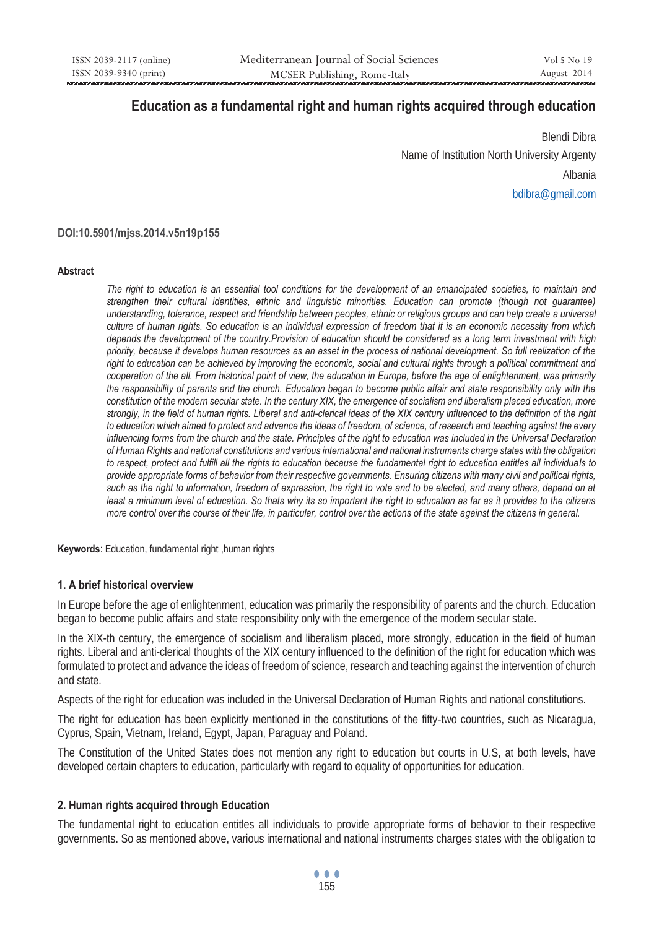# **Education as a fundamental right and human rights acquired through education**

Blendi Dibra Name of Institution North University Argenty Albania bdibra@gmail.com

## **DOI:10.5901/mjss.2014.v5n19p155**

#### **Abstract**

*The right to education is an essential tool conditions for the development of an emancipated societies, to maintain and strengthen their cultural identities, ethnic and linguistic minorities. Education can promote (though not guarantee) understanding, tolerance, respect and friendship between peoples, ethnic or religious groups and can help create a universal culture of human rights. So education is an individual expression of freedom that it is an economic necessity from which depends the development of the country.Provision of education should be considered as a long term investment with high priority, because it develops human resources as an asset in the process of national development. So full realization of the right to education can be achieved by improving the economic, social and cultural rights through a political commitment and cooperation of the all. From historical point of view, the education in Europe, before the age of enlightenment, was primarily the responsibility of parents and the church. Education began to become public affair and state responsibility only with the constitution of the modern secular state. In the century XIX, the emergence of socialism and liberalism placed education, more strongly, in the field of human rights. Liberal and anti-clerical ideas of the XIX century influenced to the definition of the right to education which aimed to protect and advance the ideas of freedom, of science, of research and teaching against the every influencing forms from the church and the state. Principles of the right to education was included in the Universal Declaration of Human Rights and national constitutions and various international and national instruments charge states with the obligation to respect, protect and fulfill all the rights to education because the fundamental right to education entitles all individuals to provide appropriate forms of behavior from their respective governments. Ensuring citizens with many civil and political rights, such as the right to information, freedom of expression, the right to vote and to be elected, and many others, depend on at least a minimum level of education. So thats why its so important the right to education as far as it provides to the citizens more control over the course of their life, in particular, control over the actions of the state against the citizens in general.* 

**Keywords**: Education, fundamental right ,human rights

## **1. A brief historical overview**

In Europe before the age of enlightenment, education was primarily the responsibility of parents and the church. Education began to become public affairs and state responsibility only with the emergence of the modern secular state.

In the XIX-th century, the emergence of socialism and liberalism placed, more strongly, education in the field of human rights. Liberal and anti-clerical thoughts of the XIX century influenced to the definition of the right for education which was formulated to protect and advance the ideas of freedom of science, research and teaching against the intervention of church and state.

Aspects of the right for education was included in the Universal Declaration of Human Rights and national constitutions.

The right for education has been explicitly mentioned in the constitutions of the fifty-two countries, such as Nicaragua, Cyprus, Spain, Vietnam, Ireland, Egypt, Japan, Paraguay and Poland.

The Constitution of the United States does not mention any right to education but courts in U.S, at both levels, have developed certain chapters to education, particularly with regard to equality of opportunities for education.

# **2. Human rights acquired through Education**

The fundamental right to education entitles all individuals to provide appropriate forms of behavior to their respective governments. So as mentioned above, various international and national instruments charges states with the obligation to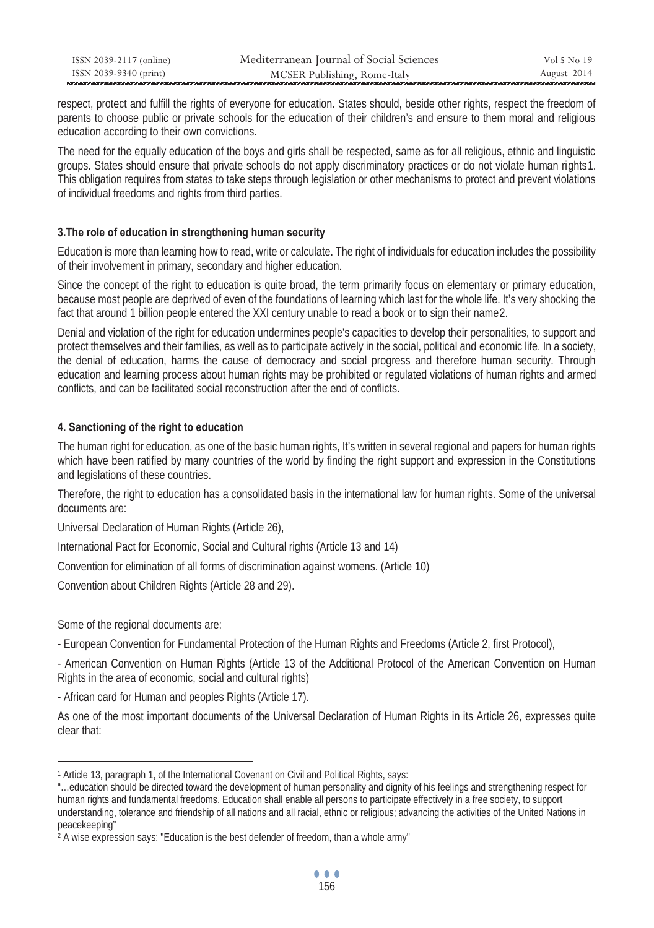| ISSN 2039-2117 (online) | Mediterranean Journal of Social Sciences | Vol 5 No 19 |
|-------------------------|------------------------------------------|-------------|
| ISSN 2039-9340 (print)  | MCSER Publishing, Rome-Italy             | August 2014 |

respect, protect and fulfill the rights of everyone for education. States should, beside other rights, respect the freedom of parents to choose public or private schools for the education of their children's and ensure to them moral and religious education according to their own convictions.

The need for the equally education of the boys and girls shall be respected, same as for all religious, ethnic and linguistic groups. States should ensure that private schools do not apply discriminatory practices or do not violate human rights1. This obligation requires from states to take steps through legislation or other mechanisms to protect and prevent violations of individual freedoms and rights from third parties.

## **3.The role of education in strengthening human security**

Education is more than learning how to read, write or calculate. The right of individuals for education includes the possibility of their involvement in primary, secondary and higher education.

Since the concept of the right to education is quite broad, the term primarily focus on elementary or primary education, because most people are deprived of even of the foundations of learning which last for the whole life. It's very shocking the fact that around 1 billion people entered the XXI century unable to read a book or to sign their name2.

Denial and violation of the right for education undermines people's capacities to develop their personalities, to support and protect themselves and their families, as well as to participate actively in the social, political and economic life. In a society, the denial of education, harms the cause of democracy and social progress and therefore human security. Through education and learning process about human rights may be prohibited or regulated violations of human rights and armed conflicts, and can be facilitated social reconstruction after the end of conflicts.

# **4. Sanctioning of the right to education**

The human right for education, as one of the basic human rights, It's written in several regional and papers for human rights which have been ratified by many countries of the world by finding the right support and expression in the Constitutions and legislations of these countries.

Therefore, the right to education has a consolidated basis in the international law for human rights. Some of the universal documents are:

Universal Declaration of Human Rights (Article 26),

International Pact for Economic, Social and Cultural rights (Article 13 and 14)

Convention for elimination of all forms of discrimination against womens. (Article 10)

Convention about Children Rights (Article 28 and 29).

Some of the regional documents are:

 $\overline{a}$ 

- European Convention for Fundamental Protection of the Human Rights and Freedoms (Article 2, first Protocol),

- American Convention on Human Rights (Article 13 of the Additional Protocol of the American Convention on Human Rights in the area of economic, social and cultural rights)

- African card for Human and peoples Rights (Article 17).

As one of the most important documents of the Universal Declaration of Human Rights in its Article 26, expresses quite clear that:

<sup>1</sup> Article 13, paragraph 1, of the International Covenant on Civil and Political Rights, says:

<sup>&</sup>quot;…education should be directed toward the development of human personality and dignity of his feelings and strengthening respect for human rights and fundamental freedoms. Education shall enable all persons to participate effectively in a free society, to support understanding, tolerance and friendship of all nations and all racial, ethnic or religious; advancing the activities of the United Nations in peacekeeping"

<sup>&</sup>lt;sup>2</sup> A wise expression says: "Education is the best defender of freedom, than a whole army"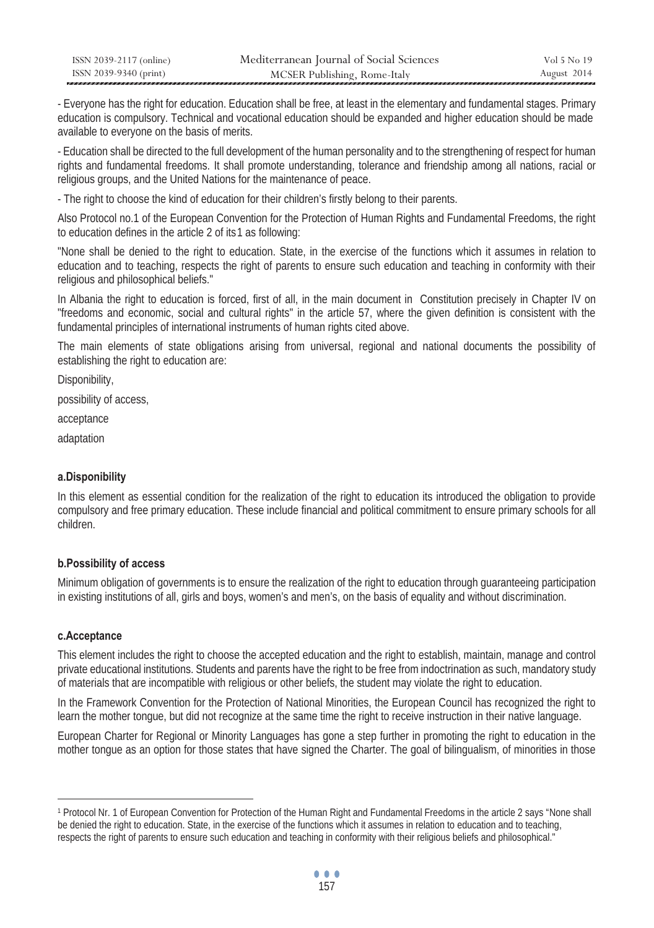| ISSN 2039-2117 (online) | Mediterranean Journal of Social Sciences | Vol 5 No 19 |
|-------------------------|------------------------------------------|-------------|
| ISSN 2039-9340 (print)  | MCSER Publishing, Rome-Italy             | August 2014 |

- Everyone has the right for education. Education shall be free, at least in the elementary and fundamental stages. Primary education is compulsory. Technical and vocational education should be expanded and higher education should be made available to everyone on the basis of merits.

- Education shall be directed to the full development of the human personality and to the strengthening of respect for human rights and fundamental freedoms. It shall promote understanding, tolerance and friendship among all nations, racial or religious groups, and the United Nations for the maintenance of peace.

- The right to choose the kind of education for their children's firstly belong to their parents.

Also Protocol no.1 of the European Convention for the Protection of Human Rights and Fundamental Freedoms, the right to education defines in the article 2 of its1 as following:

"None shall be denied to the right to education. State, in the exercise of the functions which it assumes in relation to education and to teaching, respects the right of parents to ensure such education and teaching in conformity with their religious and philosophical beliefs."

In Albania the right to education is forced, first of all, in the main document in Constitution precisely in Chapter IV on "freedoms and economic, social and cultural rights" in the article 57, where the given definition is consistent with the fundamental principles of international instruments of human rights cited above.

The main elements of state obligations arising from universal, regional and national documents the possibility of establishing the right to education are:

Disponibility,

possibility of access,

acceptance

adaptation

# **a.Disponibility**

In this element as essential condition for the realization of the right to education its introduced the obligation to provide compulsory and free primary education. These include financial and political commitment to ensure primary schools for all children.

## **b.Possibility of access**

Minimum obligation of governments is to ensure the realization of the right to education through guaranteeing participation in existing institutions of all, girls and boys, women's and men's, on the basis of equality and without discrimination.

# **c.Acceptance**

 $\overline{a}$ 

This element includes the right to choose the accepted education and the right to establish, maintain, manage and control private educational institutions. Students and parents have the right to be free from indoctrination as such, mandatory study of materials that are incompatible with religious or other beliefs, the student may violate the right to education.

In the Framework Convention for the Protection of National Minorities, the European Council has recognized the right to learn the mother tongue, but did not recognize at the same time the right to receive instruction in their native language.

European Charter for Regional or Minority Languages has gone a step further in promoting the right to education in the mother tongue as an option for those states that have signed the Charter. The goal of bilingualism, of minorities in those

<sup>1</sup> Protocol Nr. 1 of European Convention for Protection of the Human Right and Fundamental Freedoms in the article 2 says "None shall be denied the right to education. State, in the exercise of the functions which it assumes in relation to education and to teaching, respects the right of parents to ensure such education and teaching in conformity with their religious beliefs and philosophical."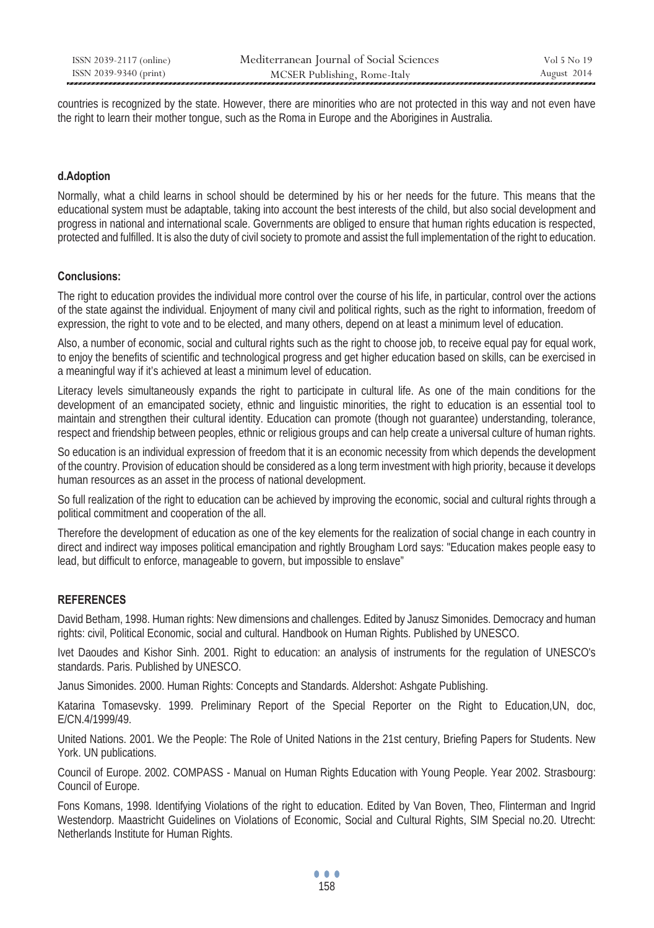countries is recognized by the state. However, there are minorities who are not protected in this way and not even have the right to learn their mother tongue, such as the Roma in Europe and the Aborigines in Australia.

# **d.Adoption**

Normally, what a child learns in school should be determined by his or her needs for the future. This means that the educational system must be adaptable, taking into account the best interests of the child, but also social development and progress in national and international scale. Governments are obliged to ensure that human rights education is respected, protected and fulfilled. It is also the duty of civil society to promote and assist the full implementation of the right to education.

## **Conclusions:**

The right to education provides the individual more control over the course of his life, in particular, control over the actions of the state against the individual. Enjoyment of many civil and political rights, such as the right to information, freedom of expression, the right to vote and to be elected, and many others, depend on at least a minimum level of education.

Also, a number of economic, social and cultural rights such as the right to choose job, to receive equal pay for equal work, to enjoy the benefits of scientific and technological progress and get higher education based on skills, can be exercised in a meaningful way if it's achieved at least a minimum level of education.

Literacy levels simultaneously expands the right to participate in cultural life. As one of the main conditions for the development of an emancipated society, ethnic and linguistic minorities, the right to education is an essential tool to maintain and strengthen their cultural identity. Education can promote (though not guarantee) understanding, tolerance, respect and friendship between peoples, ethnic or religious groups and can help create a universal culture of human rights.

So education is an individual expression of freedom that it is an economic necessity from which depends the development of the country. Provision of education should be considered as a long term investment with high priority, because it develops human resources as an asset in the process of national development.

So full realization of the right to education can be achieved by improving the economic, social and cultural rights through a political commitment and cooperation of the all.

Therefore the development of education as one of the key elements for the realization of social change in each country in direct and indirect way imposes political emancipation and rightly Brougham Lord says: "Education makes people easy to lead, but difficult to enforce, manageable to govern, but impossible to enslave"

## **REFERENCES**

David Betham, 1998. Human rights: New dimensions and challenges. Edited by Janusz Simonides. Democracy and human rights: civil, Political Economic, social and cultural. Handbook on Human Rights. Published by UNESCO.

Ivet Daoudes and Kishor Sinh. 2001. Right to education: an analysis of instruments for the regulation of UNESCO's standards. Paris. Published by UNESCO.

Janus Simonides. 2000. Human Rights: Concepts and Standards. Aldershot: Ashgate Publishing.

Katarina Tomasevsky. 1999. Preliminary Report of the Special Reporter on the Right to Education,UN, doc, E/CN.4/1999/49.

United Nations. 2001. We the People: The Role of United Nations in the 21st century, Briefing Papers for Students. New York. UN publications.

Council of Europe. 2002. COMPASS - Manual on Human Rights Education with Young People. Year 2002. Strasbourg: Council of Europe.

Fons Komans, 1998. Identifying Violations of the right to education. Edited by Van Boven, Theo, Flinterman and Ingrid Westendorp. Maastricht Guidelines on Violations of Economic, Social and Cultural Rights, SIM Special no.20. Utrecht: Netherlands Institute for Human Rights.